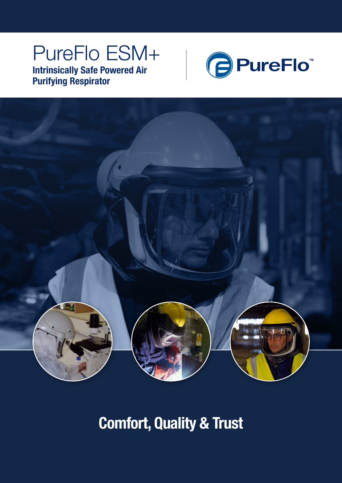## PureFlo ESM+ Intrinsically Safe Powered Air Purifying Respirator





Comfort, Quality & Trust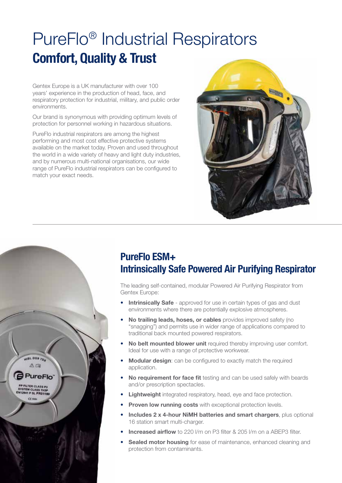# PureFlo® Industrial Respirators Comfort, Quality & Trust

Gentex Europe is a UK manufacturer with over 100 years' experience in the production of head, face, and respiratory protection for industrial, military, and public order environments.

Our brand is synonymous with providing optimum levels of protection for personnel working in hazardous situations.

PureFlo industrial respirators are among the highest performing and most cost effective protective systems available on the market today. Proven and used throughout the world in a wide variety of heavy and light duty industries, and by numerous multi-national organisations, our wide range of PureFlo industrial respirators can be configured to match your exact needs.

HISL DGS 704 Au

**PP FILTER CLASS P3**<br>SYSTEM CLASS TH3P<br>N12941 P SL PR01180  $ce$ 

**PureFlo** 



### PureFlo ESM+ Intrinsically Safe Powered Air Purifying Respirator

The leading self-contained, modular Powered Air Purifying Respirator from Gentex Europe:

- **Intrinsically Safe** approved for use in certain types of gas and dust environments where there are potentially explosive atmospheres.
- No trailing leads, hoses, or cables provides improved safety (no "snagging") and permits use in wider range of applications compared to traditional back mounted powered respirators.
- No belt mounted blower unit required thereby improving user comfort. Ideal for use with a range of protective workwear.
- Modular design: can be configured to exactly match the required application.
- No requirement for face fit testing and can be used safely with beards and/or prescription spectacles.
- **Lightweight** integrated respiratory, head, eye and face protection.
- **Proven low running costs** with exceptional protection levels.
- Includes 2 x 4-hour NiMH batteries and smart chargers, plus optional 16 station smart multi-charger.
- **Increased airflow** to 220 l/m on P3 filter & 205 l/m on a ABEP3 filter.
- Sealed motor housing for ease of maintenance, enhanced cleaning and protection from contaminants.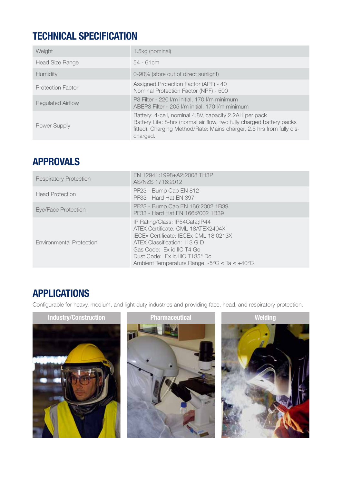## TECHNICAL SPECIFICATION

| Weight                   | 1.5kg (nominal)                                                                                                                                                                                                      |
|--------------------------|----------------------------------------------------------------------------------------------------------------------------------------------------------------------------------------------------------------------|
| <b>Head Size Range</b>   | $54 - 61$ cm                                                                                                                                                                                                         |
| <b>Humidity</b>          | 0-90% (store out of direct sunlight)                                                                                                                                                                                 |
| <b>Protection Factor</b> | Assigned Protection Factor (APF) - 40<br>Nominal Protection Factor (NPF) - 500                                                                                                                                       |
| <b>Regulated Airflow</b> | P3 Filter - 220 I/m initial, 170 I/m minimum<br>ABEP3 Filter - 205 I/m initial, 170 I/m minimum                                                                                                                      |
| Power Supply             | Battery: 4-cell, nominal 4.8V, capacity 2.2AH per pack<br>Battery Life: 8-hrs (normal air flow, two fully charged battery packs<br>fitted). Charging Method/Rate: Mains charger, 2.5 hrs from fully dis-<br>charged. |

#### APPROVALS

| <b>Respiratory Protection</b> | EN 12941:1998+A2:2008 TH3P<br>AS/NZS 1716:2012                                                                                                                                                                                                                                           |
|-------------------------------|------------------------------------------------------------------------------------------------------------------------------------------------------------------------------------------------------------------------------------------------------------------------------------------|
| <b>Head Protection</b>        | PF23 - Bump Cap EN 812<br>PF33 - Hard Hat EN 397                                                                                                                                                                                                                                         |
| Eye/Face Protection           | PF23 - Bump Cap EN 166:2002 1B39<br>PF33 - Hard Hat FN 166:2002 1B39                                                                                                                                                                                                                     |
| Environmental Protection      | IP Rating/Class: IP54Cat2;IP44<br>ATFX Certificate: CMI 18ATFX2404X<br>IECEx Certificate: IECEx CML 18.0213X<br>ATEX Classification: II 3 G D<br>Gas Code: Ex ic IIC T4 Gc<br>Dust Code: Ex ic IIIC T135° Dc<br>Ambient Temperature Range: $-5^{\circ}$ C $\leq$ Ta $\leq +40^{\circ}$ C |

## APPLICATIONS

Configurable for heavy, medium, and light duty industries and providing face, head, and respiratory protection.